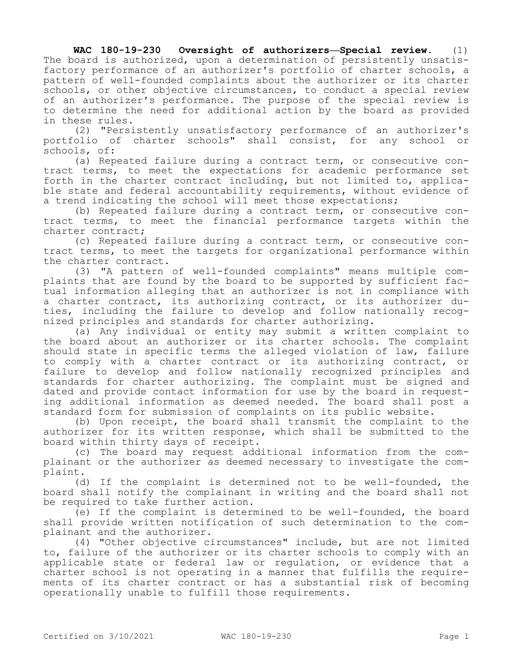**WAC 180-19-230 Oversight of authorizers—Special review.** (1) The board is authorized, upon a determination of persistently unsatisfactory performance of an authorizer's portfolio of charter schools, a pattern of well-founded complaints about the authorizer or its charter schools, or other objective circumstances, to conduct a special review of an authorizer's performance. The purpose of the special review is to determine the need for additional action by the board as provided in these rules.

(2) "Persistently unsatisfactory performance of an authorizer's portfolio of charter schools" shall consist, for any school or schools, of:

(a) Repeated failure during a contract term, or consecutive contract terms, to meet the expectations for academic performance set forth in the charter contract including, but not limited to, applicable state and federal accountability requirements, without evidence of a trend indicating the school will meet those expectations;

(b) Repeated failure during a contract term, or consecutive contract terms, to meet the financial performance targets within the charter contract;

(c) Repeated failure during a contract term, or consecutive contract terms, to meet the targets for organizational performance within the charter contract.

(3) "A pattern of well-founded complaints" means multiple complaints that are found by the board to be supported by sufficient factual information alleging that an authorizer is not in compliance with a charter contract, its authorizing contract, or its authorizer duties, including the failure to develop and follow nationally recognized principles and standards for charter authorizing.

(a) Any individual or entity may submit a written complaint to the board about an authorizer or its charter schools. The complaint should state in specific terms the alleged violation of law, failure to comply with a charter contract or its authorizing contract, or failure to develop and follow nationally recognized principles and standards for charter authorizing. The complaint must be signed and dated and provide contact information for use by the board in requesting additional information as deemed needed. The board shall post a standard form for submission of complaints on its public website.

(b) Upon receipt, the board shall transmit the complaint to the authorizer for its written response, which shall be submitted to the board within thirty days of receipt.

(c) The board may request additional information from the complainant or the authorizer as deemed necessary to investigate the complaint.

(d) If the complaint is determined not to be well-founded, the board shall notify the complainant in writing and the board shall not be required to take further action.

(e) If the complaint is determined to be well-founded, the board shall provide written notification of such determination to the complainant and the authorizer.

(4) "Other objective circumstances" include, but are not limited to, failure of the authorizer or its charter schools to comply with an applicable state or federal law or regulation, or evidence that a charter school is not operating in a manner that fulfills the requirements of its charter contract or has a substantial risk of becoming operationally unable to fulfill those requirements.